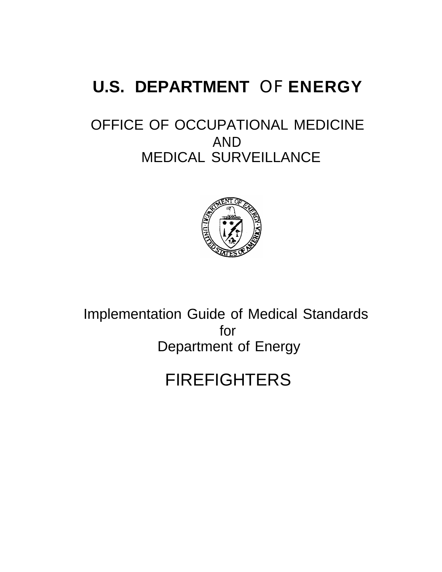# **U.S. DEPARTMENT** OF **ENERGY**

# OFFICE OF OCCUPATIONAL MEDICINE AND MEDICAL SURVEILLANCE



Implementation Guide of Medical Standards for Department of Energy

# FIREFIGHTERS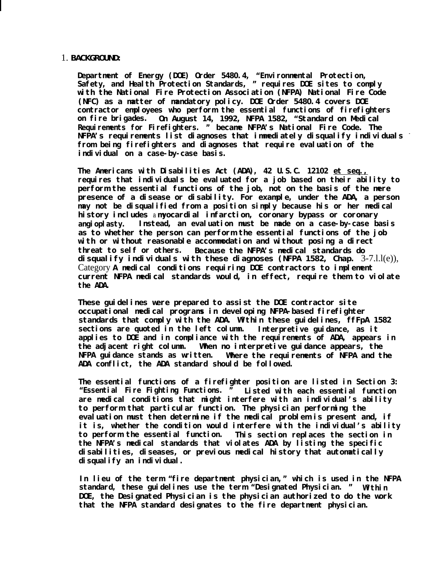# 1. **BACKGROUND:**

**Department of Energy (DOE) Order 5480.4, "Environmental Protection, Safety, and Health Protection Standards, " requires DOE sites to comply with the National Fire Protection Association (NFPA) National Fire Code (NFC) as a matter of mandatory policy. DOE Order 5480.4 covers DOE contractor employees who perform the essential functions of firefighters on fire brigades. On August 14, 1992, NFPA 1582, "Standard on Medical Requirements for Firefighters. " became NFPA's National Fire Code. The NFPA's requirements list diagnoses that immediately disqualify individuals from being firefighters and diagnoses that require evaluation of the individual on a case-by-case basis.**

**The Americans with Disabilities Act (ADA), 42 U.S.C. 12102 et seq., requires that individuals be evaluated for a job based on their ability to perform the essential functions of the job, not on the basis of the mere presence of a disease or disability. For example, under the ADA, a person may not be disqualified from a position simply because his or her medical history includes** a **myocardial infarction, coronary bypass or coronary angioplasty. Instead, an evaluation must be made on a case-by-case basis as to whether the person can perform the essential functions of the job with or without reasonable accommodation and without posing a direct threat to self or others. Because the NFPA's medical standards do disqualify individuals with these diagnoses (NFPA 1582, Chap.** 3-7.l.l(e)), Category **A medical conditions requiring DOE contractors to implement current NFPA medical standards would, in effect, require them to violate the ADA.**

**These guidelines were prepared to assist the DOE contractor site occupational medical programs in developing NFPA-based firefighter standards that comply with the ADA. Within these guidelines, ffFpA 1582 sections are quoted in the left column. Interpretive guidance, as it applies to DOE and in compliance with the requirements of ADA, appears in the adjacent right column. When no interpretive guidance appears, the** Where the requirements of NFPA and the **ADA conflict, the ADA standard should be followed.**

**The essential functions of a firefighter position are listed in Section 3: "Essential Fire Fighting Functions. " Listed with each essential function are medical conditions that might interfere with an individual's ability to perform that particular function. The physician performing the evaluation must then determine if the medical problem is present and, if it is, whether the condition would interfere with the individual's ability to perform the essential function. This section replaces the section in the NFPA's medical standards that violates ADA by listing the specific disabilities, diseases, or previous medical history that automatically disqualify an individual.**

**In lieu of the term "fire department physician," which is used in the NFPA standard, these guidelines use the term "Designated Physician. " Within DOE, the Designated Physician is the physician authorized to do the work that the NFPA standard designates to the fire department physician.**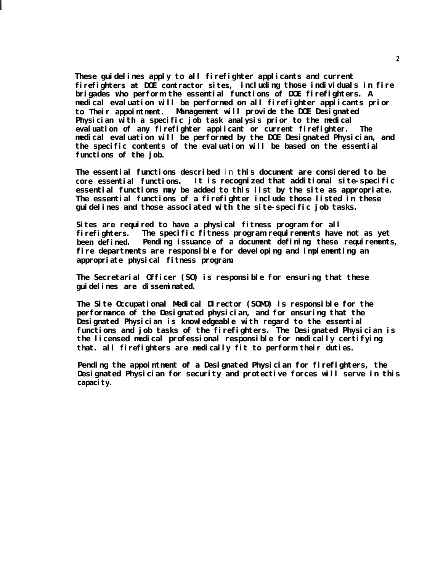**These guidelines apply to all firefighter applicants and current firefighters at DOE contractor sites, including those individuals in fire brigades who perform the essential functions of DOE firefighters. A medical evaluation will be performed on all firefighter applicants prior to Their appointment. Management will provide the DOE Designated Physician with a specific job task analysis prior to the medical evaluation of any firefighter applicant or current firefighter. The medical evaluation will be performed by the DOE Designated Physician, and the specific contents of the evaluation will be based on the essential functions of the job.**

**The essential functions described** in **this document are considered to be core essential functions. It is recognized that additional site-specific essential functions may be added to this list by the site as appropriate. The essential functions of a firefighter include those listed in these guidelines and those associated with the site-specific job tasks.**

**Sites are required to have a physical fitness program for all firefighters. The specific fitness program requirements have not as yet been defined. Pending issuance of a document defining these requirements, fire departments are responsible for developing and implementing an appropriate physical fitness program.**

**The Secretarial Officer (SO) is responsible for ensuring that these guidelines are disseminated.**

**The Site Occupational Medical Director (SOMD) is responsible for the performance of the Designated physician, and for ensuring that the Designated Physician is knowledgeable with regard to the essential functions and job tasks of the firefighters. The Designated Physician is the licensed medical professional responsible for medically certifying that. all firefighters are medically fit to perform their duties.**

**Pending the appointment of a Designated Physician for firefighters, the Designated Physician for security and protective forces will serve in this** capaci ty.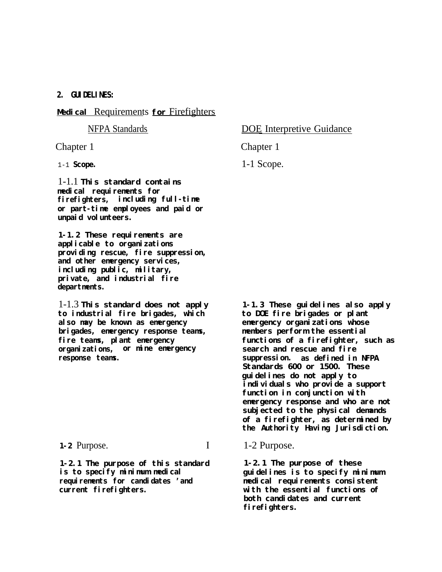**2. GUIDELINES:**

# **Medical** Requirements **for** Firefighters

1-1.1 **This standard contains medical requirements for firefighters, including full-time or part-time employees and paid or unpaid volunteers.**

1-1.2 These requirements are **applicable to organizations providing rescue, fire suppression, and other emergency services, including public, military, private, and industrial fire departments.**

1-1.3 **This standard does not apply 1-1.3 These guidelines also apply to industrial fire brigades, which also may be known as emergency emergency organizations whose brigades, emergency response teams, members perform the essential organizations, or mine emergency search and rescue and fire response teams. suppression. as defined in NFPA**

**1-2.1 The purpose of this standard 1-2.1 The purpose of these is to specify minimum medical guidelines is to specify minimum requirements for candidates 'and medical requirements consistent current firefighters. with the essential functions of**

# NFPA Standards DOE Interpretive Guidance

Chapter 1 Chapter 1

1-1 **Scope.** 1-1 Scope.

**fire teams, plant emergency functions of a firefighter, such as Standards 600 or 1500. These guidelines do not apply to individuals who provide a support function in conjunction with emergency response and who are not subjected to the physical demands of a firefighter, as determined by the Authority Having Jurisdiction.**

# 1-2 Purpose. **I** 1-2 Purpose.

**both candidates and current firefighters.**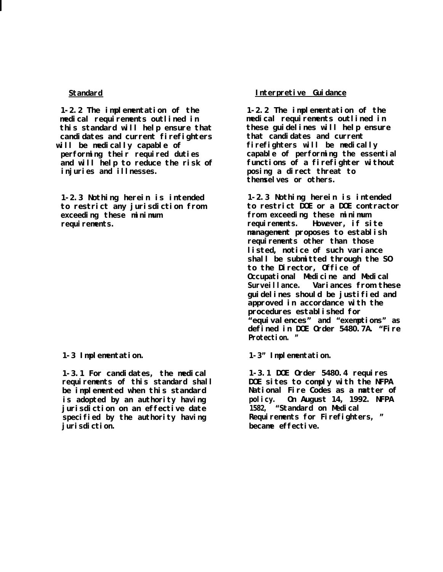**1-2.2 The implementation of the medical requirements outlined in this standard will help ensure that candidates and current firefighters will be medically capable of performing their required duties and will help to reduce the risk of injuries and illnesses.**

**1-2.3 Nothing herein is intended to restrict any jurisdiction from exceeding these minimum** requirements.

# **1-3 Implementation.**

**1-3.1 For candidates, the medical requirements of this standard shall be implemented when this standard is adopted by an authority having jurisdiction on an effective date specified by the authority having jurisdiction.**

# **Standard Interpretive Guidance**

**1-2.2 The implementation of the medical requirements outlined in these guidelines will help ensure that candidates and current firefighters will be medically capable of performing the essential functions of a firefighter without posing a direct threat to themselves or others.**

**1-2.3 Nothing herein is intended to restrict DOE or a DOE contractor from exceeding these minimum requirements. However, if site management proposes to establish** requirements other than those **listed, notice of such variance shall be submitted through the SO to the Director, Office of Occupational Medicine and Medical Surveillance. Variances from these guidelines should be justified and approved in accordance with the procedures established for "equivalences" and "exemptions" as defined in DOE Order 5480.7A. "Fire Protection. "**

**1-3" Implementation.**

**1-3.1 DOE Order 5480.4 requires DOE sites to comply with the NFPA National Fire Codes as a matter of policy. On August 14, 1992. NFPA 1582, "Standard on Medical** Requirements for Firefighters, " **became effective.**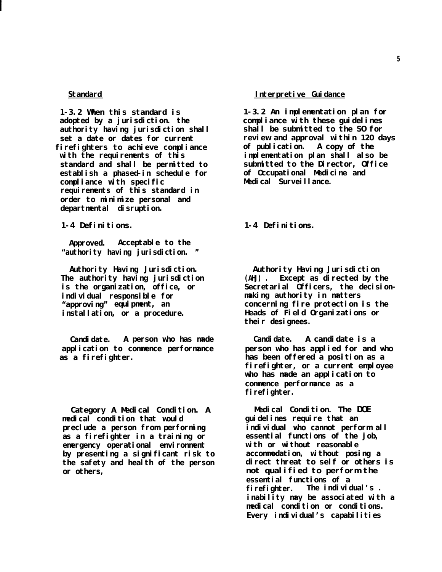**1-3.2 When this standard is adopted by a jurisdiction. the authority having jurisdiction shall set a date or dates for current firefighters to achieve compliance with the requirements of this standard and shall be permitted to establish a phased-in schedule for compliance with specific requirements of this standard in order to minimize personal and departmental disruption.**

**1-4 Definitions.**

**Approved. Acceptable to the "authority having jurisdiction. "**

**Authority Having Jurisdiction. The authority having jurisdiction is the organization, office, or individual responsible for "approving" equipment, an installation, or a procedure.**

**Candidate. A person who has made application to commence performance as a firefighter.**

**Category A Medical Condition. A medical condition that would preclude a person from performing as a firefighter in a training or** emergency operational environment **by presenting a significant risk to the safety and health of the person or others,**

### **Standard Interpretive Guidance**

**1-3.2 An implementation plan for compliance with these guidelines shall be submitted to the SO for review and approval within 120 days of publication. A copy of the implementation plan shall also be submitted to the Director, Office of Occupational Medicine and Medical Surveillance.**

**1-4 Definitions.**

**Authority Having Jurisdiction (AHJ) . Except as directed by the Secretarial Officers, the decisionmaking authority in matters concerning fire protection is the Heads of Field Organizations or their designees.**

**Candidate. A candidate is a person who has applied for and who has been offered a position as a firefighter, or a current employee who has made an application to commence performance as a firefighter.**

**Medical Condition. The DOE guidelines require that an individual who cannot perform all essential functions of the job, with or without reasonable accommodation, without posing a direct threat to self or others is not qualified to perform the essential functions of a firefighter. The individual's . inability may be associated with a medical condition or conditions. Every individual's capabilities**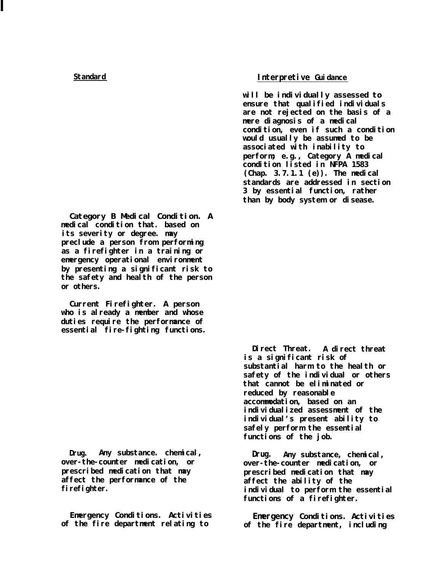**Category B Medical Condition. A medical condition that. based on its severity or degree. may preclude a person from performing as a firefighter in a training or emergency operational environment by presenting a significant risk to the safety and health of the person or others.**

**Current Firefighter. A person who is already a member and whose duties require the performance of essential fire-fighting functions.**

**Drug. Any substance. chemical, Drug. Any substance, chemical, prescribed medication that may prescribed medication that may affect the performance of the affect the ability of the**

# **Standard Interpretive Guidance**

**will be individually assessed to ensure that qualified individuals are not rejected on the basis of a mere diagnosis of a medical condition, even if such a condition would usually be assumed to be associated with inability to perform; e.g., Category A medical condition listed in NFPA 1583 (Chap. 3.7.1.1 (e)). The medical standards are addressed in section 3 by essential function, rather than by body system or disease.**

**Direct Threat. A direct threat is a significant risk of substantial harm to the health or safety of the individual or others that cannot be eliminated or reduced by reasonable accommodation, based on an individualized assessment of the individual's present ability to safely perform the essential functions of the job.**

**over-the-counter medication, or over-the-counter medication, or firefighter. individual to perform the essential functions of a firefighter.**

**Emergency Conditions. Activities Emergency Conditions. Activities** of the fire department, including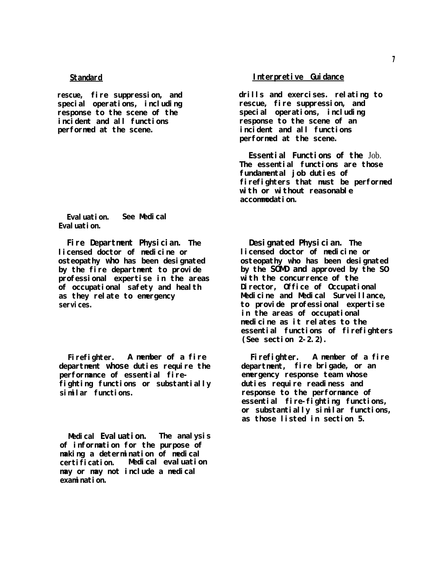**rescue, fire suppression, and special operations, including response to the scene of the incident and all functions performed at the scene.**

**Evaluation. See Medical Evaluation.**

**Fire Department Physician. The licensed doctor of medicine or osteopathy who has been designated by the fire department to provide professional expertise in the areas of occupational safety and health as they relate to emergency** servi ces.

**Firefighter. A member of a fire department whose duties require the performance of essential firefighting functions or substantially similar functions.**

**Medical Evaluation. The analysis of information for the purpose of making a determination of medical certification. Medical evaluation may or may not include a medical examination.**

## **Interpretive Guidance**

**drills and exercises. relating to rescue, fire suppression, and special operations, including response to the scene of an incident and all functions performed at the scene.**

**Essential Functions of the** Job. **The essential functions are those fundamental job duties of firefighters that must be performed with or without reasonable accommodation.**

**Designated Physician. The licensed doctor of medicine or osteopathy who has been designated by the SOMD and approved by the SO with the concurrence of the Director, Office of Occupational Medicine and Medical Surveillance, to provide professional expertise in the areas of occupational medicine as it relates to the essential functions of firefighters (See section 2-2.2).**

**Firefighter. A member of a fire department, fire brigade, or an emergency response team whose duties require readiness and response to the performance of essential fire-fighting functions, or substantially similar functions, as those listed in section 5.**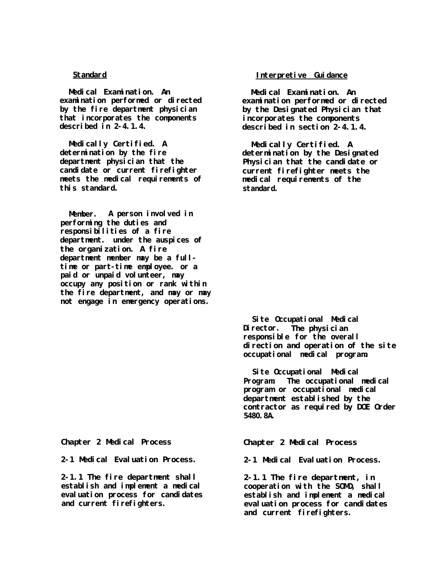**Medical Examination. An examination performed or directed by the fire department physician that incorporates the components described in 2-4.1.4.**

**Medically Certified. A determination by the fire department physician that the candidate or current firefighter meets the medical requirements of this standard.**

**Member. A person involved in performing the duties and responsibilities of a fire department. under the auspices of the organization. A fire department member may be a fulltime or part-time employee. or a paid or unpaid volunteer, may occupy any position or rank within the fire department, and may or may not engage in emergency operations.**

**Chapter 2 Medical Process**

**2-1 Medical Evaluation Process.**

**2-1.1 The fire department shall establish and implement a medical evaluation process for candidates and current firefighters.**

# **Standard Interpretive Guidance**

**Medical Examination. An examination performed or directed by the Designated Physician that incorporates the components described in section 2-4.1.4.**

**Medically Certified. A determination by the Designated Physician that the candidate or current firefighter meets the** medical requirements of the **standard.**

**Site Occupational Medical Director. The physician responsible for the overall direction and operation of the site occupational medical program.**

**Site Occupational Medical Program. The occupational medical program or occupational medical department established by the contractor as required by DOE Order 5480.8A.**

**Chapter 2 Medical Process**

**2-1 Medical Evaluation Process.**

**2-1.1 The fire department, in cooperation with the SOMD, shall establish and implement a medical evaluation process for candidates and current firefighters.**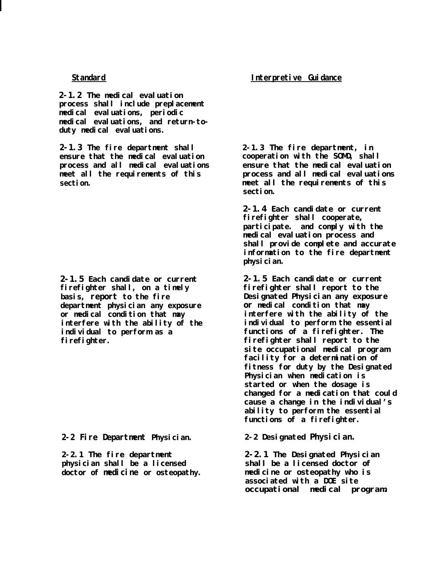**2-1.2 The medical evaluation process shall include preplacement medical evaluations, periodic medical evaluations, and return-toduty medical evaluations.**

**2-1.3 The fire department shall 2-1.3 The fire department, in ensure that the medical evaluation process and all medical evaluations meet all the requirements of this section.**

**2-1.5 Each candidate or current firefighter shall, on a timely basis, report to the fire department physician any exposure or medical condition that may interfere with the ability of the individual to perform as a firefighter.**

**2-2 Fire Department Physician.**

**2-2.1 The fire department physician shall be a licensed doctor of medicine or osteopathy.**

# **Standard Interpretive Guidance**

**cooperation with the SOMD, shall ensure that the medical evaluation process and all medical evaluations meet all the requirements of this section.**

**2-1.4 Each candidate or current firefighter shall cooperate, participate. and comply with the medical evaluation process and shall provide complete and accurate information to the fire department physician.**

**2-1.5 Each candidate or current firefighter shall report to the Designated Physician any exposure or medical condition that may interfere with the ability of the individual to perform the essential functions of a firefighter. The firefighter shall report to the site occupational medical program facility for a determination of fitness for duty by the Designated Physician when medication is started or when the dosage is changed for a medication that could cause a change in the individual's ability to perform the essential functions of a firefighter.**

**2-2 Designated Physician.**

**2-2.1 The Designated Physician shall be a licensed doctor of medicine or osteopathy who is associated with a DOE site occupational medical program.**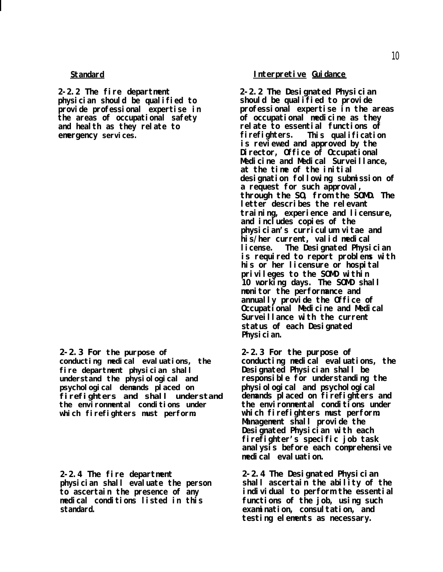**2-2.2 The fire department physician should be qualified to provide professional expertise in the areas of occupational safety and health as they relate to emergency services.**

**2-2.3 For the purpose of conducting medical evaluations, the fire department physician shall understand the physiological and psychological demands placed on firefighters and shall understand** the environmental conditions under **which firefighters must perform.**

**2-2.4 The fire department physician shall evaluate the person to ascertain the presence of any medical conditions listed in this standard.**

# **Interpretive Guidance**

**2-2.2 The Designated Physician should be qualified to provide professional expertise in the areas of occupational medicine as they relate to essential functions of firefighters. This qualification is reviewed and approved by the Director, Office of Occupational Medicine and Medical Surveillance, at the time of the initial designation following submission of a request for such approval, through the SO, from the SOMD. The letter describes the relevant training, experience and licensure, and includes copies of the physician's curriculum vitae and his/her current, valid medical license. The Designated Physician is required to report problems with his or her licensure or hospital privileges to the SOMD within 10 working days. The SOMD shall monitor the performance and annually provide the Office of Occupational Medicine and Medical Surveillance with the current status of each Designated Physician.**

**2-2.3 For the purpose of conducting medical evaluations, the Designated Physician shall be responsible for understanding the physiological and psychological demands placed on firefighters and the environmental conditions under which firefighters must perform. Management shall provide the Designated Physician with each firefighter's specific job task analysis before each comprehensive medical evaluation.**

**2-2.4 The Designated Physician shall ascertain the ability of the individual to perform the essential functions of the job, using such examination, consultation, and testing elements as necessary.**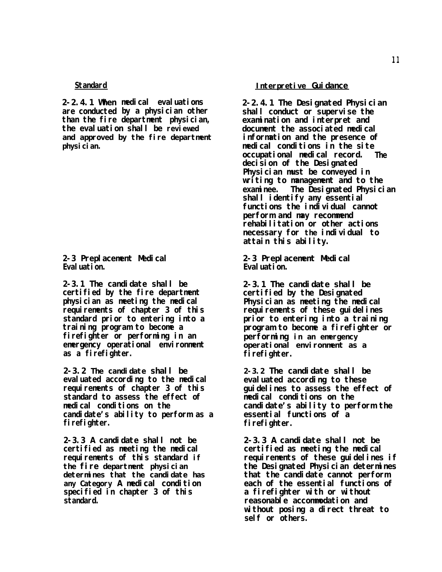**2-2.4.1 When medical evaluations are conducted by a physician other than the fire department physician, the evaluation shall be reviewed and approved by the fire department physician.**

**2-3 Preplacement Medical Evaluation.**

**2-3.1 The candidate shall be certified by the fire department physician as meeting the medical requirements of chapter 3 of this standard prior to entering into a training program to become a firefighter or performing in an emergency operational environment as a firefighter.**

**2-3.2 The candidate shall be evaluated according to the medical requirements of chapter 3 of this standard to assess the effect of medical conditions on the candidate's ability to perform as a firefighter.**

**2-3.3 A candidate shall not be certified as meeting the medical requirements of this standard if the fire department physician determines that the candidate has any Category A medical condition specified in chapter 3 of this standard.**

### **Interpretive Guidance**

**2-2.4.1 The Designated Physician shall conduct or supervise the examination and interpret and document the associated medical information and the presence of medical conditions in the site occupational medical record. The decision of the Designated Physician must be conveyed in writing to management and to the examinee. The Designated Physician shall identify any essential functions the individual cannot perform and may recommend rehabilitation or other actions necessary for the individual to attain this ability.**

**2-3 Preplacement Medical Evaluation.**

**2-3.1 The candidate shall be certified by the Designated Physician as meeting the medical requirements of these guidelines prior to entering into a training program to become a firefighter or performing in an emergency operational environment as a firefighter.**

**2-3.2 The candidate shall be evaluated according to these guidelines to assess the effect of medical conditions on the candidate's ability to perform the essential functions of a firefighter.**

**2-3.3 A candidate shall not be certified as meeting the medical** requirements of these guidelines if **the Designated Physician determines that the candidate cannot perform each of the essential functions of a firefighter with or without reasonable accommodation and without posing a direct threat to self or others.**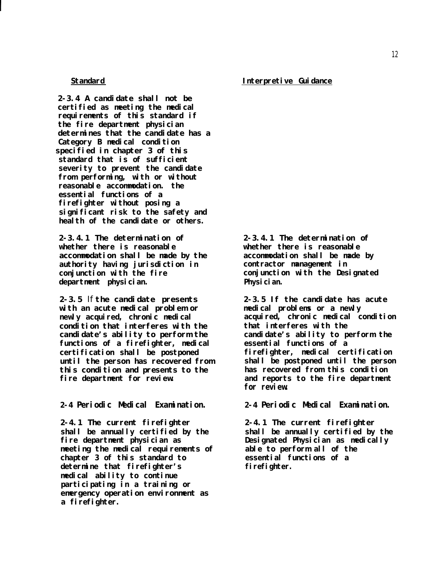**2-3.4 A candidate shall not be certified as meeting the medical requirements of this standard if the fire department physician determines that the candidate has a** Category B medical condition **specified in chapter 3 of this standard that is of sufficient severity to prevent the candidate from performing, with or without reasonable accommodation. the essential functions of a firefighter without posing a significant risk to the safety and health of the candidate or others.**

**2-3.4.1 The determination of whether there is reasonable accommodation shall be made by the authority having jurisdiction in conjunction with the fire department physician.**

**2-3.5** If **the candidate presents with an acute medical problem or newly acquired, chronic medical condition that interferes with the candidate's ability to perform the functions of a firefighter, medical certification shall be postponed until the person has recovered from this condition and presents to the fire department for review.**

**2-4 Periodic Medical Examination.**

**2-4.1 The current firefighter shall be annually certified by the fire department physician as** meeting the medical requirements of **chapter 3 of this standard to determine that firefighter's medical ability to continue participating in a training or emergency operation environment as a firefighter.**

**2-3.4.1 The determination of whether there is reasonable accommodation shall be made by contractor management in conjunction with the Designated Physician.**

**2-3.5 If the candidate has acute medical problems or a newly acquired, chronic medical condition that interferes with the candidate's ability to perform the essential functions of a firefighter, medical certification shall be postponed until the person has recovered from this condition and reports to the fire department for review.**

**2-4 Periodic Medical Examination.**

**2-4.1 The current firefighter shall be annually certified by the Designated Physician as medically able to perform all of the essential functions of a firefighter.**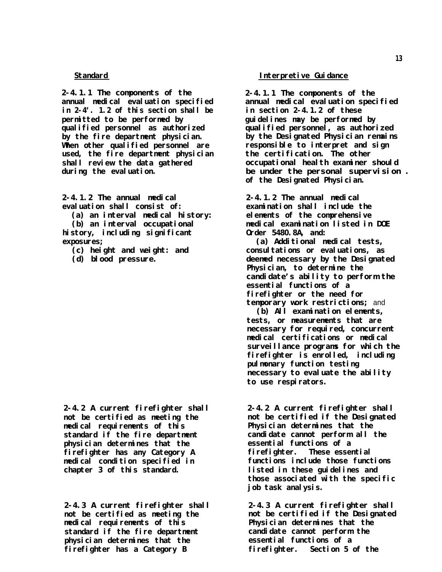**2-4.1.1 The components of the annual medical evaluation specified in 2-4'. 1.2 of this section shall be permitted to be performed by qualified personnel as authorized by the fire department physician.** When other qualified personnel are **used, the fire department physician shall review the data gathered during the evaluation.**

**2-4.1.2 The annual medical evaluation shall consist of:**

**(a) an interval medical history:**

**(b) an interval occupational history, including significant exposures;**

- **(c) height and weight: and**
- **(d) blood pressure.**

**2-4.2 A current firefighter shall not be certified as meeting the medical requirements of this standard if the fire department physician determines that the firefighter has any Category A medical condition specified in chapter 3 of this standard.**

**2-4.3 A current firefighter shall not be certified as meeting the medical requirements of this standard if the fire department physician determines that the firefighter has a Category B**

### **Interpretive Guidance**

**2-4.1.1 The components of the annual medical evaluation specified in section 2-4.1.2 of these guidelines may be performed by qualified personnel, as authorized by the Designated Physician remains responsible to interpret and sign the certification. The other occupational health examiner should be under the personal supervision . of the Designated Physician.**

**2-4.1.2 The annual medical examination shall include the elements of the comprehensive medical examination listed in DOE Order 5480.8A, and:**

**(a) Additional medical tests, consultations or evaluations, as deemed necessary by the Designated Physician, to determine the candidate's ability to perform the essential functions of a firefighter or the need for temporary work restrictions;** and

**(b) All examination elements, tests, or measurements that are** hecessary for required, concurrent **medical certifications or medical surveillance programs for which the firefighter is enrolled, including pulmonary function testing necessary to evaluate the ability to use respirators.**

**2-4.2 A current firefighter shall not be certified if the Designated Physician determines that the candidate cannot perform all the essential functions of a firefighter. These essential functions include those functions listed in these guidelines and those associated with the specific job task analysis.**

**2-4.3 A current firefighter shall not be certified if the Designated Physician determines that the candidate cannot perform the essential functions of a firefighter. Section 5 of the**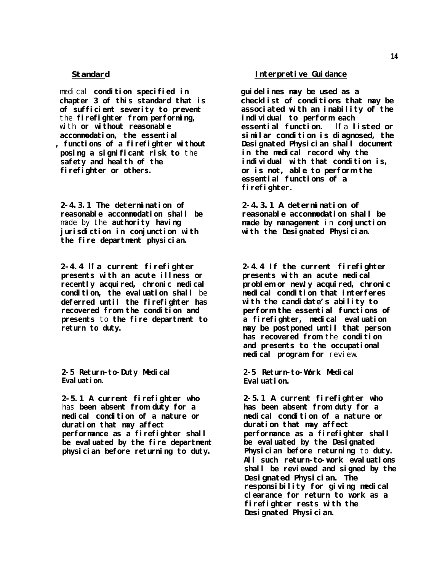medical **condition specified in chapter 3 of this standard that is of sufficient severity to prevent** the **firefighter from performing,** with **or without reasonable accommodation, the essential , functions of a firefighter without posing a significant risk to** the **safety and health of the firefighter or others.**

**2-4.3.1 The determination of reasonable accommodation shall be** made by the **authority having jurisdiction in conjunction with the fire department physician.**

**2-4.4** If **a current firefighter presents with an acute illness or** recently acquired, chronic medical **condition, the evaluation shall** be **deferred until the firefighter has** recovered from the condition and **presents** to **the fire department to return to duty.**

**2-5 Return-to-Duty Medical Evaluation.**

**2-5.1 A current firefighter who** has **been absent from duty for a medical condition of a nature or duration that may affect performance as a firefighter shall be evaluated by the fire department physician before returning to duty.**

### **Standard Interpretive Guidance**

**guidelines may be used as a checklist of conditions that may be associated with an inability of the individual to perform each essential function.** If a **listed or similar condition is diagnosed, the Designated Physician shall document in the medical record why the individual with that condition is, or is not, able to perform the essential functions of a firefighter.**

**2-4.3.1 A determination of reasonable accommodation shall be made by management** in **conjunction with the Designated Physician.**

**2-4.4 If the current firefighter presents with an acute medical problem or newly acquired, chronic medical condition that interferes with the candidate's ability to perform the essential functions of a firefighter, medical evaluation may be postponed until that person has recovered from** the **condition and presents to the occupational medical program for** review.

**2-5 Return-to-Work Medical Evaluation.**

**2-5.1 A current firefighter who has been absent from duty for a medical condition of a nature or duration that may affect performance as a firefighter shall be evaluated by the Designated Physician before returning** to **duty. All such return-to-work evaluations shall be reviewed and signed by the Designated Physician. The responsibility for giving medical clearance for return to work as a firefighter rests with the Designated Physician.**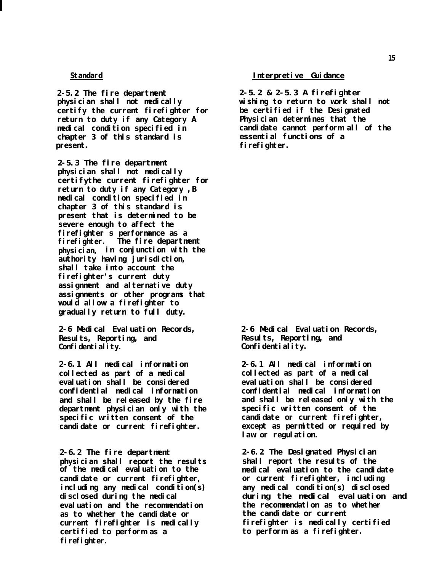**2-5.2 The fire department physician shall not medically certify the current firefighter for return to duty if any Category A medical condition specified in chapter 3 of this standard is present.**

**2-5.3 The fire department physician shall not medically certifythe current firefighter for return to duty if any Category ,B medical condition specified in chapter 3 of this standard is present that is determined to be severe enough to affect the firefighter s performance as a firefighter. The fire department physician, in conjunction with the authority having jurisdiction, shall take into account the firefighter's current duty assignment and alternative duty assignments or other programs that would allow a firefighter to gradually return to full duty.**

**2-6 Medical Evaluation Records, Results, Reporting, and Confidentiality.**

**2-6.1 All medical information collected as part of a medical evaluation shall be considered confidential medical information and shall be released by the fire department physician only with the specific written consent of the candidate or current firefighter.**

**2-6.2 The fire department physician shall report the results candidate or current firefighter, or current firefighter, including including any medical condition(s) any medical condition(s) disclosed evaluation and the recommendation the recommendation as to whether** as to whether the candidate or **certified to perform as a to perform as a firefighter. firefighter.**

### **Standard Interpretive Guidance**

**2-5.2 & 2-5.3 A firefighter wishing to return to work shall not be certified if the Designated Physician determines that the candidate cannot perform all of the essential functions of a firefighter.**

**2-6 Medical Evaluation Records, Results, Reporting, and Confidentiality.**

**2-6.1 All medical information collected as part of a medical evaluation shall be considered confidential medical information and shall be released only with the specific written consent of the candidate or current firefighter, except as permitted or required by law or regulation.**

**2-6.2 The Designated Physician shall report the results of the of the medical evaluation to the medical evaluation to the candidate disclosed during the medical during the medical evaluation and current firefighter is medically firefighter is medically certified**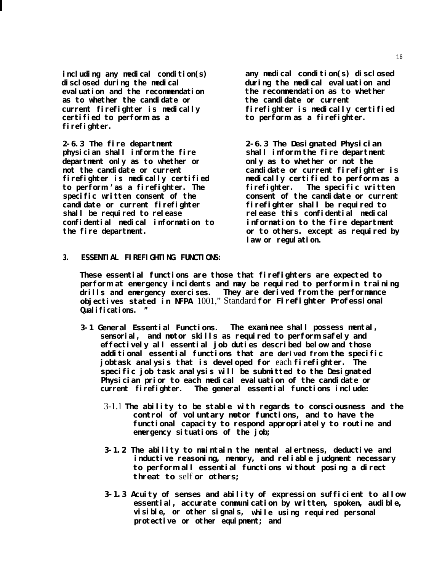**disclosed during the medical during the medical evaluation and evaluation and the recommendation the recommendation as to whether as to whether the candidate or the candidate or current certified to perform as a to perform as a firefighter. firefighter.**

**2-6.3 The fire department physician shall inform the fire department only as to whether or not the candidate or current firefighter is medically certified to perform 'as a firefighter. The specific written consent of the candidate or current firefighter shall be required to release confidential medical information to the fire department.**

**including any medical condition(s) any medical condition(s) disclosed current firefighter is medically firefighter is medically certified**

> **2-6.3 The Designated Physician shall inform the fire department only as to whether or not the candidate or current firefighter is medically certified to perform as a firefighter. The specific written consent of the candidate or current firefighter shall be required to release this confidential medical information to the fire department or to others. except as required by law or regulation.**

**3. ESSENTIAL FIREFIGHTING FUNCTIONS:**

**These essential functions are those that firefighters are expected to perform at emergency incidents and may be required to perform in training drills and emergency exercises. They are derived from the performance objectives stated in NFPA** 1001," Standard **for Firefighter Professional Qualifications. "**

- **3-1 General Essential Functions. The examinee shall possess mental, sensorial, and motor skills as required to perform safely and effectively all essential job duties described below and those additional essential functions that are derived from the specific jobtask analysis that is developed for** each **firefighter. The specific job task analysis will be submitted to the Designated Physician prior to each medical evaluation of the candidate or current firefighter. The general essential functions include:**
	- 3-1.1 **The ability to be stable with regards to consciousness and the control of voluntary motor functions, and to have the functional capacity to respond appropriately to routine and emergency situations of the job;**
	- **3-1.2 The ability to maintain the mental alertness, deductive and inductive reasoning, memory, and reliable judgment necessary to perform all essential functions without posing a direct threat to** self **or others;**
	- **3-1.3 Acuity of senses and ability of expression sufficient to allow essential, accurate communication by written, spoken, audible, visible, or other signals, while using required personal protective or other equipment; and**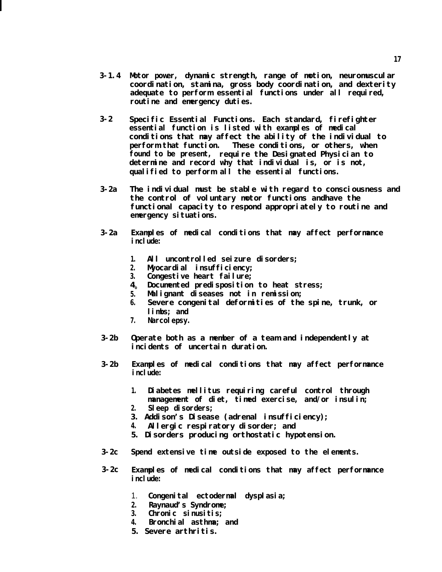- **3-1.4 Motor power, dynamic strength, range of motion, neuromuscular coordination, stamina, gross body coordination, and dexterity adequate to perform essential functions under all required, routine and emergency duties.**
- **3-2 Specific Essential Functions. Each standard, firefighter essential function is listed with examples of medical conditions that may affect the ability of the individual to perform that function. These conditions, or others, when found to be present, require the Designated Physician to determine and record why that individual is, or is not, qualified to perform all the essential functions.**
- **3-2a The individual must be stable with regard to consciousness and the control of voluntary motor functions andhave the functional capacity to respond appropriately to routine and emergency situations.**
- **3-2a Examples of medical conditions that may affect performance include:**
	- **1. All uncontrolled seizure disorders;**
	- **2. Myocardial insufficiency;**
	- **3. Congestive heart failure;**
	- $4<sub>0</sub>$ **Documented predisposition to heat stress;**
	- **5. Malignant diseases not in remission;**
	- **6. Severe congenital deformities of the spine, trunk, or limbs; and**
	- **7. Narcolepsy.**
- **3-2b Operate both as a member of a team and independently at incidents of uncertain duration.**
- **3-2b Examples of medical conditions that may affect performance include:**
	- **1. Diabetes mellitus requiring careful control through management of diet, timed exercise, and/or insulin;**
	- **2. Sleep disorders;**
	- **3. Addison's Disease (adrenal insufficiency);**
	- **4. Allergic respiratory disorder; and**
	- **5. Disorders producing orthostatic hypotension.**
- **3-2c Spend extensive time outside exposed to the elements.**
- **3-2c Examples of medical conditions that may affect performance include:**
	- 1. **Congenital ectodermal dysplasia;**
	- **2. Raynaud's Syndrome;**
	- **3. Chronic sinusitis;**
	- **4. Bronchial asthma; and**
	- **5. Severe arthritis.**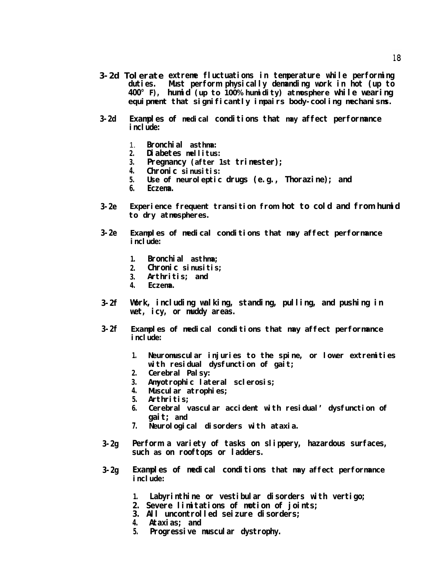- **3-2d Tolerate extreme fluctuations in temperature while performing duties. Must perform physically demanding work in hot (up to 400° F), humid (up to 100% humidity) atmosphere while wearing equipment that significantly impairs body-cooling mechanisms.**
- **3-2d Examples of medical conditions that may affect performance** include:
	- 1. **Bronchial asthma:**
	- **2. Diabetes mellitus:**
	- **3. Pregnancy (after 1st trimester);**
	- **4. Chronic sinusitis:**
	- **5. Use of neuroleptic drugs (e.g., Thorazine); and**
	- **6. Eczema.**
- **3-2e** Experience frequent transition from hot to cold and from humid **to dry atmospheres.**
- **3-2e Examples of medical conditions that may affect performance include:**
	- **1. Bronchial asthma;**
	- **2. Chronic sinusitis;**
	- **3. Arthritis; and**
	- **4. Eczema.**
- **3-2f Work, including walking, standing, pulling, and pushing in wet, icy, or muddy areas.**
- **3-2f Examples of medical conditions that may affect performance include:** 
	- **1. Neuromuscular injuries to the spine, or lower extremities with residual dysfunction of gait;**
	- **2. Cerebral Palsy:**
	- **3. Amyotrophic lateral sclerosis;**
	- **4. Muscular atrophies;**
	- **5. Arthritis;**
	- **6. Cerebral vascular accident with residual' dysfunction of gait; and**
	- **7. Neurological disorders with ataxia.**
- **3-2g Perform a variety of tasks on slippery, hazardous surfaces, such as on rooftops or ladders.**
- **3-2g Examples of medical conditions that may affect performance include:**
	- **1. Labyrinthine or vestibular disorders with vertigo;**
	- **2. Severe limitations of motion of joints;**
	- **3. All uncontrolled seizure disorders;**
	- **4. Ataxias; and**
	- **5. Progressive muscular dystrophy.**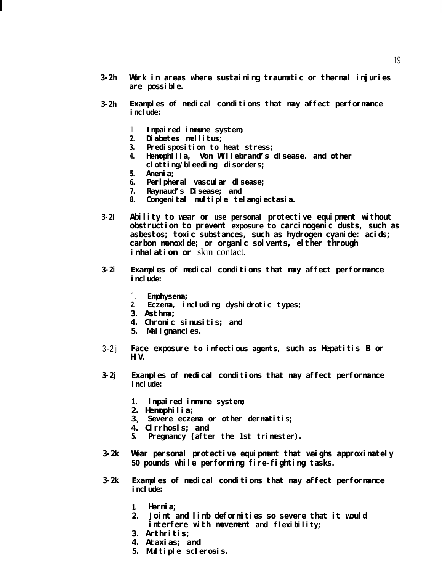- **3-2h Work in areas where sustaining traumatic or thermal injuries are possible.**
- **3-2h Examples of medical conditions that may affect performance include:**
	- 1. **Impaired immune system;**
	- **2. Diabetes mellitus;**
	- **3. Predisposition to heat stress;**
	- **4. Hemophilia, Von Willebrand's disease. and other clotting/bleeding disorders;**
	- **5. Anemia;**
	- **6. Peripheral vascular disease;**
	- **7. Raynaud's Disease; and**
	- **8. Congenital multiple telangiectasia.**
- **3-2i Ability to wear or use personal protective equipment without obstruction to prevent exposure to carcinogenic dusts, such as asbestos; toxic substances, such as hydrogen cyanide: acids; carbon monoxide; or organic solvents, either through inhalation or** skin contact.
- **3-2i Examples of medical conditions that may affect performance include:**
	- 1. **Emphysema;**
	- **2. Eczema, including dyshidrotic types;**
	- **3. Asthma;**
	- **4. Chronic sinusitis; and**
	- **5. Malignancies.**
- 3-2j **Face exposure to infectious agents, such as Hepatitis B or HIV.**
- **3-2j Examples of medical conditions that may affect performance i**nclude:
	- 1. **Impaired immune system;**
	- **2. Hemophilia;**
	- **3<sup>0</sup> Severe eczema or other dermatitis;**
	- **4. Cirrhosis; and**
	- **5. Pregnancy (after the 1st trimester).**
- **3-2k Wear personal protective equipment that weighs approximately 50 pounds while performing fire-fighting tasks.**
- **3-2k Examples of medical conditions that may affect performance** include:
	- **1. Hernia;**
	- **2. Joint and limb deformities so severe that it would interfere with movement and flexibility;**
	- **3. Arthritis;**
	- **4. Ataxias; and**
	- **5. Multiple sclerosis.**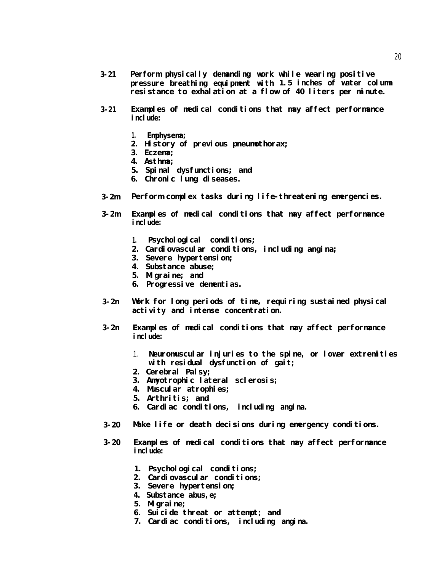- **3-21 Perform physically demanding work while wearing positive pressure breathing equipment with 1.5 inches of water column resistance to exhalation at a flow of 40 liters per minute.**
- **3-21 Examples of medical conditions that may affect performance include:**
	- **1. Emphysema;**
	- **2. History of previous pneumothorax;**
	- **3. Eczema;**
	- **4. Asthma;**
	- **5. Spinal dysfunctions; and**
	- **6. Chronic lung diseases.**
- **3-2m Perform complex tasks during life-threatening emergencies.**
- **3-2m Examples of medical conditions that may affect performance include:**
	- **1. Psychological conditions;**
	- **2. Cardiovascular conditions, including angina;**
	- **3. Severe hypertension;**
	- **4. Substance abuse;**
	- **5. Migraine; and**
	- **6. Progressive dementias.**
- **3-2n Work for long periods of time, requiring sustained physical activity and intense concentration.**
- **3-2n Examples of medical conditions that may affect performance include:**
	- 1. **Neuromuscular injuries to the spine, or lower extremities with residual dysfunction of gait;**
	- **2. Cerebral Palsy;**
	- **3. Amyotrophic lateral sclerosis;**
	- **4. Muscular atrophies;**
	- **5. Arthritis; and**
	- **6. Cardiac conditions, including angina.**
- **3-20** Make life or death decisions during emergency conditions.
- **3-20 Examples of medical conditions that may affect performance include:**
	- **1. Psychological conditions;**
	- **2. Cardiovascular conditions;**
	- **3. Severe hypertension;**
	- **4. Substance abus,e;**
	- **5. Migraine;**
	- **6. Suicide threat or attempt; and**
	- **7. Cardiac conditions, including angina.**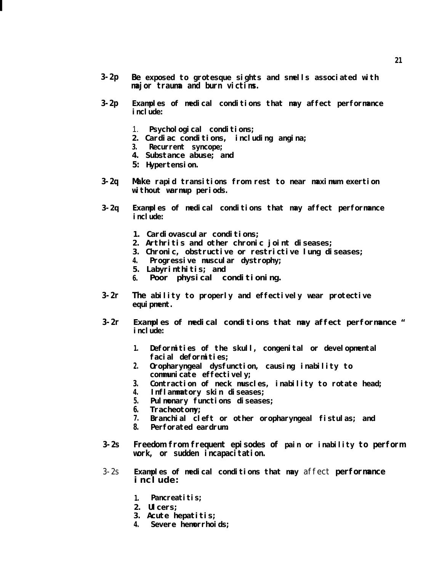- **3-2p Be exposed to grotesque sights and smells associated with major trauma and burn victims.**
- **3-2p Examples of medical conditions that may affect performance** include:
	- 1. **Psychological conditions;**
	- **2. Cardiac conditions, including angina;**
	- **3. Recurrent syncope;**
	- **4. Substance abuse; and**
	- **5: Hypertension.**
- **3-2q Make rapid transitions from rest to near maximum exertion without warmup periods.**
- **3-2q Examples of medical conditions that may affect performance** include:
	- **1. Cardiovascular conditions;**
	- **2. Arthritis and other chronic joint diseases;**
	- **3. Chronic, obstructive or restrictive lung diseases;**
	- **4. Progressive muscular dystrophy;**
	- **5. Labyrinthitis; and**
	- **6. Poor physical conditioning.**
- **3-2r The ability to properly and effectively wear protective** equi pment.
- **3-2r Examples of medical conditions that may affect performance " include:**
	- **1. Deformities of the skull, congenital or developmental facial deformities;**
	- **2. Oropharyngeal dysfunction, causing inability to communicate effectively;**
	- **3. Contraction of neck muscles, inability to rotate head;**
	- **4. Inflammatory skin diseases;**
	- **5. Pulmonary functions diseases;**
	- **6. Tracheotomy;**
	- **7. Branchial cleft or other oropharyngeal fistulas; and**
	- **8. Perforated eardrum.**
- **3-2s Freedom from frequent episodes of pain or inability to perform work, or sudden incapacitation.**
- 3-2s **Examples of medical conditions that may** affect **performance include:** 
	- **1. Pancreatitis;**
	- **2. Ulcers;**
	- **3. Acute hepatitis;**
	- **4. Severe hemorrhoids;**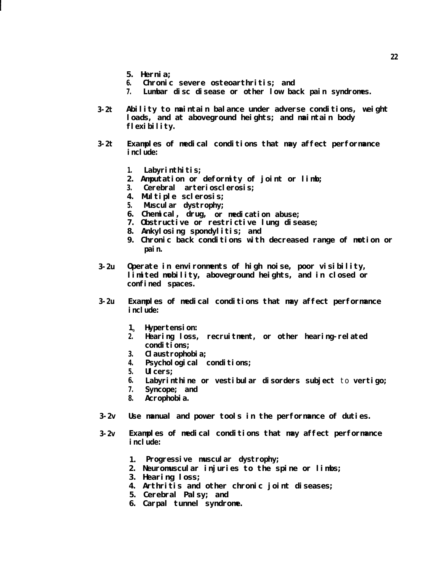- **5. Hernia;**
- **6. Chronic severe osteoarthritis; and**
- **7. Lumbar disc disease or other low back pain syndromes.**
- **3-2t Ability to maintain balance under adverse conditions, weight loads, and at aboveground heights; and maintain body flexibility.**
- **3-2t Examples of medical conditions that may affect performance include:**
	- **1. Labyrinthitis;**
	- **2. Amputation or deformity of joint or limb;**
	- **3. Cerebral arteriosclerosis;**
	- **4. Multiple sclerosis;**
	- **5. Muscular dystrophy;**
	- **6. Chemical, drug, or medication abuse;**
	- **7. Obstructive or restrictive lung disease;**
	- **8. Ankylosing spondylitis; and**
	- **9. Chronic back conditions with decreased range of motion or pain.**
- **3-2u** Operate in environments of high noise, poor visibility, **limited mobility, aboveground heights, and in closed or confined spaces.**
- **3-2u Examples of medical conditions that may affect performance i**nclude:
	- **10 Hypertension:**
	- **2. Hearing loss, recruitment, or other hearing-related** conditions;
	- **3. Claustrophobia;**
	- **4.** Psychological conditions;
	- **5. Ulcers;**
	- **6. Labyrinthine or vestibular disorders subject** to **vertigo;**
	- **7. Syncope; and**
	- **8. Acrophobia.**
- **3-2v Use manual and power tools in the performance of duties.**
- **3-2v Examples of medical conditions that may affect performance include:** 
	- **1. Progressive muscular dystrophy;**
	- **2. Neuromuscular injuries to the spine or limbs;**
	- **3. Hearing loss;**
	- **4. Arthritis and other chronic joint diseases;**
	- **5. Cerebral Palsy; and**
	- **6. Carpal tunnel syndrome.**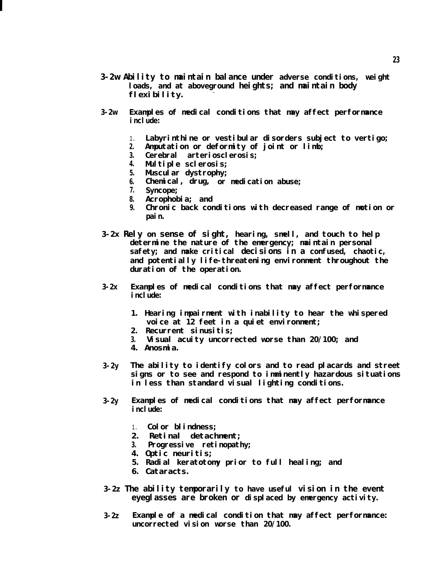- **3-2w Ability to maintain balance under adverse conditions, weight loads, and at aboveground heights; and maintain body flexibility. -**
- **3-2w Examples of medical conditions that may affect performance include:**
	- 1. **Labyrinthine or vestibular disorders subject to vertigo;**
	- **2. Amputation or deformity of joint or limb;**
	- **3. Cerebral arteriosclerosis;**
	- **4. Multiple sclerosis;**
	- **5. Muscular dystrophy;**
	- **6. Chemical, drug, or medication abuse;**
	- **7. Syncope;**
	- **8. Acrophobia; and**
	- **9. Chronic back conditions with decreased range of motion or pain.**
- **3-2x Rely on sense of sight, hearing, smell, and touch to help determine the nature of the emergency; maintain personal safety; and make critical decisions in a confused, chaotic, and potentially life-threatening environment throughout the duration of the operation.**
- **3-2x Examples of medical conditions that may affect performance include:**
	- **1. Hearing impairment with inability to hear the whispered voice at 12 feet in a quiet environment;**
	- **2. Recurrent sinusitis;**
	- **3. Visual acuity uncorrected worse than 20/100; and**
	- **4. Anosmia.**
- **3-2y The ability to identify colors and to read placards and street signs or to see and respond to imminently hazardous situations in less than standard visual lighting conditions.**
- **3-2y Examples of medical conditions that may affect performance i**nclude:
	- 1. **Color blindness;**
	- **2. Retinal detachment;**
	- **3. Progressive retinopathy;**
	- **4. Optic neuritis;**
	- **5. Radial keratotomy prior to full healing; and**
	- **6. Cataracts.**
- **3-2z The ability temporarily to have useful vision in the event eyeglasses are broken or displaced by emergency activity.**
- **3-2z Example of a medical condition that may affect performance: uncorrected vision worse than 20/100.**